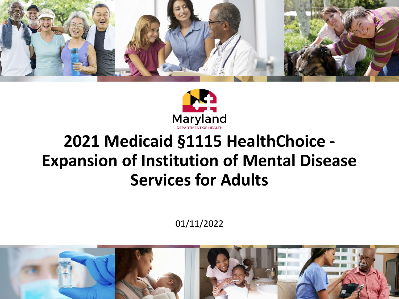



### **2021 Medicaid §1115 HealthChoice - Expansion of Institution of Mental Disease Services for Adults**

01/11/2022

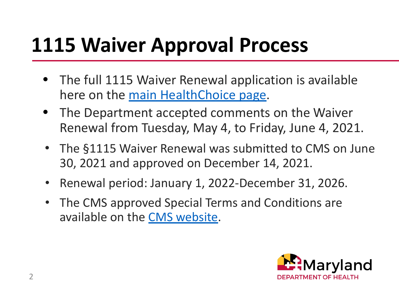# **1115 Waiver Approval Process**

- The full 1115 Waiver Renewal application is available here on the [main HealthChoice page.](https://mmcp.health.maryland.gov/Pages/1115-HealthChoice-Waiver-Renewal.aspx)
- The Department accepted comments on the Waiver Renewal from Tuesday, May 4, to Friday, June 4, 2021.
- The §1115 Waiver Renewal was submitted to CMS on June 30, 2021 and approved on December 14, 2021.
- Renewal period: January 1, 2022-December 31, 2026.
- The CMS approved Special Terms and Conditions are available on the [CMS website](https://www.medicaid.gov/Medicaid-CHIP-Program-Information/By-Topics/Waivers/1115/downloads/md/md-healthchoice-ca.pdf).

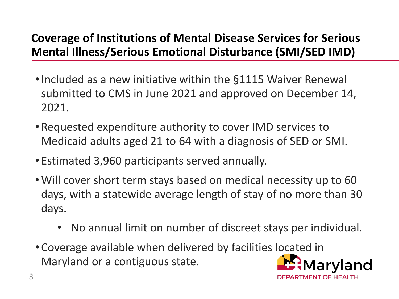#### **Coverage of Institutions of Mental Disease Services for Serious Mental Illness/Serious Emotional Disturbance (SMI/SED IMD)**

- •Included as a new initiative within the §1115 Waiver Renewal submitted to CMS in June 2021 and approved on December 14, 2021.
- Requested expenditure authority to cover IMD services to Medicaid adults aged 21 to 64 with a diagnosis of SED or SMI.
- Estimated 3,960 participants served annually.
- •Will cover short term stays based on medical necessity up to 60 days, with a statewide average length of stay of no more than 30 days.
	- No annual limit on number of discreet stays per individual.
- Coverage available when delivered by facilities located in Maryland or a contiguous state.

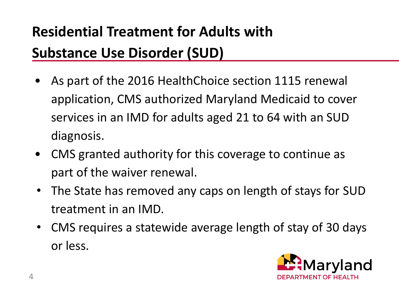## **Residential Treatment for Adults with Substance Use Disorder (SUD)**

- As part of the 2016 HealthChoice section 1115 renewal application, CMS authorized Maryland Medicaid to cover services in an IMD for adults aged 21 to 64 with an SUD diagnosis.
- CMS granted authority for this coverage to continue as part of the waiver renewal.
- The State has removed any caps on length of stays for SUD treatment in an IMD.
- CMS requires a statewide average length of stay of 30 days or less.